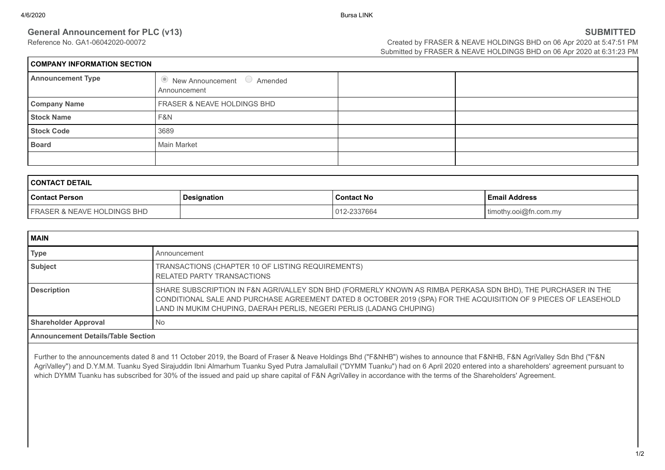# **General Announcement for PLC (v13) SUBMITTED**

| <b>COMPANY INFORMATION SECTION</b> |                                              |  |  |
|------------------------------------|----------------------------------------------|--|--|
| <b>Announcement Type</b>           | • New Announcement • Amended<br>Announcement |  |  |
| <b>Company Name</b>                | <b>FRASER &amp; NEAVE HOLDINGS BHD</b>       |  |  |
| <b>Stock Name</b>                  | F&N                                          |  |  |
| <b>Stock Code</b>                  | 3689                                         |  |  |
| <b>Board</b>                       | Main Market                                  |  |  |
|                                    |                                              |  |  |

| <b>CONTACT DETAIL</b>                  |                    |                   |                       |
|----------------------------------------|--------------------|-------------------|-----------------------|
| <b>Contact Person</b>                  | <b>Designation</b> | <b>Contact No</b> | l Email Address       |
| <b>FRASER &amp; NEAVE HOLDINGS BHD</b> |                    | 012-2337664       | timothy.ooi@fn.com.my |

| MAIN                                      |                                                                                                                                                                                                                                                                                                         |  |
|-------------------------------------------|---------------------------------------------------------------------------------------------------------------------------------------------------------------------------------------------------------------------------------------------------------------------------------------------------------|--|
| <b>Type</b>                               | Announcement                                                                                                                                                                                                                                                                                            |  |
| <b>Subject</b>                            | TRANSACTIONS (CHAPTER 10 OF LISTING REQUIREMENTS)<br><b>RELATED PARTY TRANSACTIONS</b>                                                                                                                                                                                                                  |  |
| <b>Description</b>                        | SHARE SUBSCRIPTION IN F&N AGRIVALLEY SDN BHD (FORMERLY KNOWN AS RIMBA PERKASA SDN BHD), THE PURCHASER IN THE<br>CONDITIONAL SALE AND PURCHASE AGREEMENT DATED 8 OCTOBER 2019 (SPA) FOR THE ACQUISITION OF 9 PIECES OF LEASEHOLD<br>LAND IN MUKIM CHUPING, DAERAH PERLIS, NEGERI PERLIS (LADANG CHUPING) |  |
| <b>Shareholder Approval</b>               | No                                                                                                                                                                                                                                                                                                      |  |
| <b>Announcement Details/Table Section</b> |                                                                                                                                                                                                                                                                                                         |  |

Further to the announcements dated 8 and 11 October 2019, the Board of Fraser & Neave Holdings Bhd ("F&NHB") wishes to announce that F&NHB, F&N AgriValley Sdn Bhd ("F&N AgriValley") and D.Y.M.M. Tuanku Syed Sirajuddin Ibni Almarhum Tuanku Syed Putra Jamalullail ("DYMM Tuanku") had on 6 April 2020 entered into a shareholders' agreement pursuant to which DYMM Tuanku has subscribed for 30% of the issued and paid up share capital of F&N AgriValley in accordance with the terms of the Shareholders' Agreement.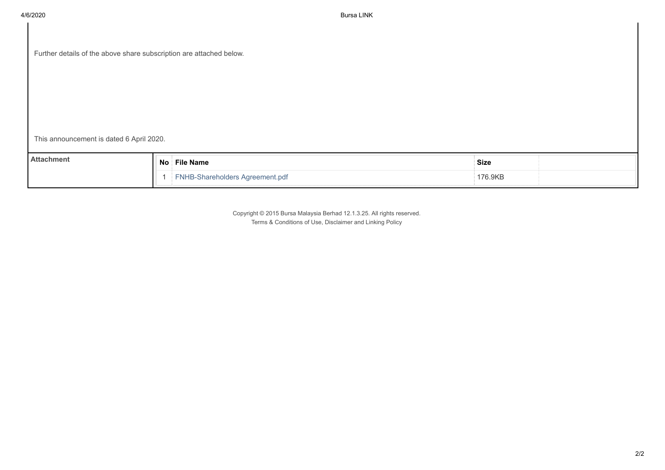| Further details of the above share subscription are attached below. |  |  |  |
|---------------------------------------------------------------------|--|--|--|
|---------------------------------------------------------------------|--|--|--|

This announcement is dated 6 April 2020.

| <b>Attachment</b> | <b>No</b> | <b>File Name</b>           | <b>Size</b> |  |
|-------------------|-----------|----------------------------|-------------|--|
|                   |           | Shareholders Agreement.pdf | '76.9KB     |  |

Copyright © 2015 Bursa Malaysia Berhad 12.1.3.25. All rights reserved. Terms & Conditions of Use, Disclaimer and Linking Policy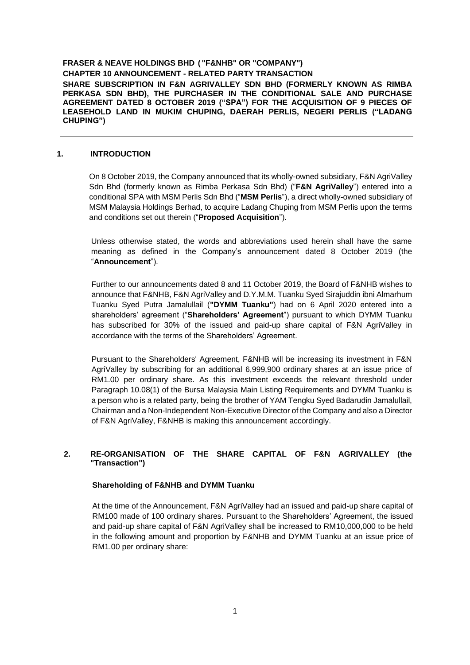**FRASER & NEAVE HOLDINGS BHD ( "F&NHB" OR "COMPANY") CHAPTER 10 ANNOUNCEMENT - RELATED PARTY TRANSACTION SHARE SUBSCRIPTION IN F&N AGRIVALLEY SDN BHD (FORMERLY KNOWN AS RIMBA PERKASA SDN BHD), THE PURCHASER IN THE CONDITIONAL SALE AND PURCHASE AGREEMENT DATED 8 OCTOBER 2019 ("SPA") FOR THE ACQUISITION OF 9 PIECES OF LEASEHOLD LAND IN MUKIM CHUPING, DAERAH PERLIS, NEGERI PERLIS ("LADANG CHUPING")**

## **1. INTRODUCTION**

On 8 October 2019, the Company announced that its wholly-owned subsidiary, F&N AgriValley Sdn Bhd (formerly known as Rimba Perkasa Sdn Bhd) ("**F&N AgriValley**") entered into a conditional SPA with MSM Perlis Sdn Bhd ("**MSM Perlis**"), a direct wholly-owned subsidiary of MSM Malaysia Holdings Berhad, to acquire Ladang Chuping from MSM Perlis upon the terms and conditions set out therein ("**Proposed Acquisition**").

Unless otherwise stated, the words and abbreviations used herein shall have the same meaning as defined in the Company's announcement dated 8 October 2019 (the "**Announcement**").

Further to our announcements dated 8 and 11 October 2019, the Board of F&NHB wishes to announce that F&NHB, F&N AgriValley and D.Y.M.M. Tuanku Syed Sirajuddin ibni Almarhum Tuanku Syed Putra Jamalullail (**"DYMM Tuanku"**) had on 6 April 2020 entered into a shareholders' agreement ("**Shareholders' Agreement**") pursuant to which DYMM Tuanku has subscribed for 30% of the issued and paid-up share capital of F&N AgriValley in accordance with the terms of the Shareholders' Agreement.

Pursuant to the Shareholders' Agreement, F&NHB will be increasing its investment in F&N AgriValley by subscribing for an additional 6,999,900 ordinary shares at an issue price of RM1.00 per ordinary share. As this investment exceeds the relevant threshold under Paragraph 10.08(1) of the Bursa Malaysia Main Listing Requirements and DYMM Tuanku is a person who is a related party, being the brother of YAM Tengku Syed Badarudin Jamalullail, Chairman and a Non-Independent Non-Executive Director of the Company and also a Director of F&N AgriValley, F&NHB is making this announcement accordingly.

## **2. RE-ORGANISATION OF THE SHARE CAPITAL OF F&N AGRIVALLEY (the "Transaction")**

#### **Shareholding of F&NHB and DYMM Tuanku**

At the time of the Announcement, F&N AgriValley had an issued and paid-up share capital of RM100 made of 100 ordinary shares. Pursuant to the Shareholders' Agreement, the issued and paid-up share capital of F&N AgriValley shall be increased to RM10,000,000 to be held in the following amount and proportion by F&NHB and DYMM Tuanku at an issue price of RM1.00 per ordinary share: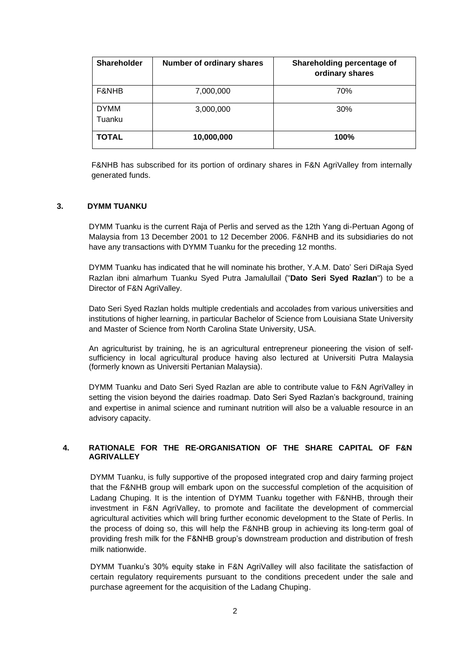| Shareholder           | Number of ordinary shares | Shareholding percentage of<br>ordinary shares |
|-----------------------|---------------------------|-----------------------------------------------|
| F&NHB                 | 7,000,000                 | 70%                                           |
| <b>DYMM</b><br>Tuanku | 3,000,000                 | 30%                                           |
| <b>TOTAL</b>          | 10,000,000                | 100%                                          |

F&NHB has subscribed for its portion of ordinary shares in F&N AgriValley from internally generated funds.

#### **3. DYMM TUANKU**

DYMM Tuanku is the current Raja of Perlis and served as the 12th Yang di-Pertuan Agong of Malaysia from 13 December 2001 to 12 December 2006. F&NHB and its subsidiaries do not have any transactions with DYMM Tuanku for the preceding 12 months.

DYMM Tuanku has indicated that he will nominate his brother, Y.A.M. Dato' Seri DiRaja Syed Razlan ibni almarhum Tuanku Syed Putra Jamalullail ("**Dato Seri Syed Razlan**") to be a Director of F&N AgriValley.

Dato Seri Syed Razlan holds multiple credentials and accolades from various universities and institutions of higher learning, in particular Bachelor of Science from Louisiana State University and Master of Science from North Carolina State University, USA.

An agriculturist by training, he is an agricultural entrepreneur pioneering the vision of selfsufficiency in local agricultural produce having also lectured at Universiti Putra Malaysia (formerly known as Universiti Pertanian Malaysia).

DYMM Tuanku and Dato Seri Syed Razlan are able to contribute value to F&N AgriValley in setting the vision beyond the dairies roadmap. Dato Seri Syed Razlan's background, training and expertise in animal science and ruminant nutrition will also be a valuable resource in an advisory capacity.

#### **4. RATIONALE FOR THE RE-ORGANISATION OF THE SHARE CAPITAL OF F&N AGRIVALLEY**

DYMM Tuanku, is fully supportive of the proposed integrated crop and dairy farming project that the F&NHB group will embark upon on the successful completion of the acquisition of Ladang Chuping. It is the intention of DYMM Tuanku together with F&NHB, through their investment in F&N AgriValley, to promote and facilitate the development of commercial agricultural activities which will bring further economic development to the State of Perlis. In the process of doing so, this will help the F&NHB group in achieving its long-term goal of providing fresh milk for the F&NHB group's downstream production and distribution of fresh milk nationwide.

DYMM Tuanku's 30% equity stake in F&N AgriValley will also facilitate the satisfaction of certain regulatory requirements pursuant to the conditions precedent under the sale and purchase agreement for the acquisition of the Ladang Chuping.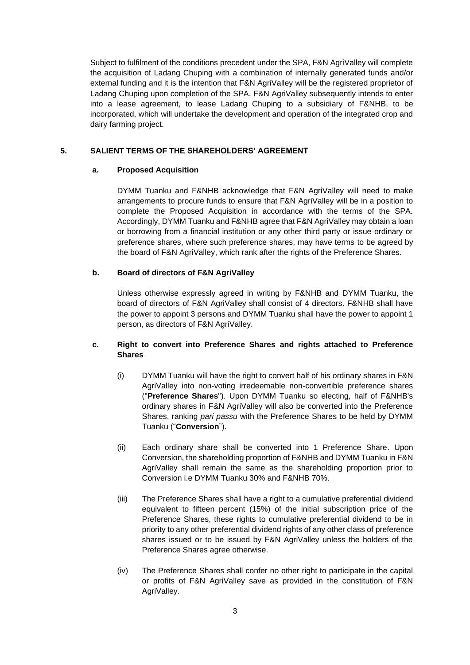Subject to fulfilment of the conditions precedent under the SPA, F&N AgriValley will complete the acquisition of Ladang Chuping with a combination of internally generated funds and/or external funding and it is the intention that F&N AgriValley will be the registered proprietor of Ladang Chuping upon completion of the SPA. F&N AgriValley subsequently intends to enter into a lease agreement, to lease Ladang Chuping to a subsidiary of F&NHB, to be incorporated, which will undertake the development and operation of the integrated crop and dairy farming project.

## **5. SALIENT TERMS OF THE SHAREHOLDERS' AGREEMENT**

#### **a. Proposed Acquisition**

DYMM Tuanku and F&NHB acknowledge that F&N AgriValley will need to make arrangements to procure funds to ensure that F&N AgriValley will be in a position to complete the Proposed Acquisition in accordance with the terms of the SPA. Accordingly, DYMM Tuanku and F&NHB agree that F&N AgriValley may obtain a loan or borrowing from a financial institution or any other third party or issue ordinary or preference shares, where such preference shares, may have terms to be agreed by the board of F&N AgriValley, which rank after the rights of the Preference Shares.

# **b. Board of directors of F&N AgriValley**

Unless otherwise expressly agreed in writing by F&NHB and DYMM Tuanku, the board of directors of F&N AgriValley shall consist of 4 directors. F&NHB shall have the power to appoint 3 persons and DYMM Tuanku shall have the power to appoint 1 person, as directors of F&N AgriValley.

# **c. Right to convert into Preference Shares and rights attached to Preference Shares**

- (i) DYMM Tuanku will have the right to convert half of his ordinary shares in F&N AgriValley into non-voting irredeemable non-convertible preference shares ("**Preference Shares**")*.* Upon DYMM Tuanku so electing, half of F&NHB's ordinary shares in F&N AgriValley will also be converted into the Preference Shares, ranking *pari passu* with the Preference Shares to be held by DYMM Tuanku ("**Conversion**").
- (ii) Each ordinary share shall be converted into 1 Preference Share. Upon Conversion, the shareholding proportion of F&NHB and DYMM Tuanku in F&N AgriValley shall remain the same as the shareholding proportion prior to Conversion i.e DYMM Tuanku 30% and F&NHB 70%.
- (iii) The Preference Shares shall have a right to a cumulative preferential dividend equivalent to fifteen percent (15%) of the initial subscription price of the Preference Shares, these rights to cumulative preferential dividend to be in priority to any other preferential dividend rights of any other class of preference shares issued or to be issued by F&N AgriValley unless the holders of the Preference Shares agree otherwise.
- (iv) The Preference Shares shall confer no other right to participate in the capital or profits of F&N AgriValley save as provided in the constitution of F&N AgriValley.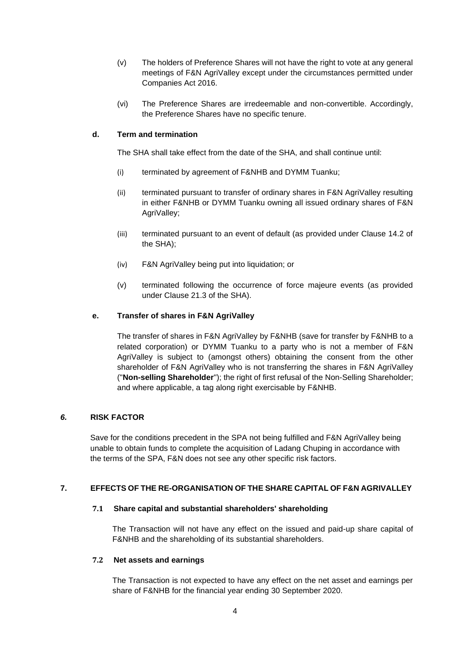- (v) The holders of Preference Shares will not have the right to vote at any general meetings of F&N AgriValley except under the circumstances permitted under Companies Act 2016.
- (vi) The Preference Shares are irredeemable and non-convertible. Accordingly, the Preference Shares have no specific tenure.

# **d. Term and termination**

The SHA shall take effect from the date of the SHA, and shall continue until:

- (i) terminated by agreement of F&NHB and DYMM Tuanku;
- (ii) terminated pursuant to transfer of ordinary shares in F&N AgriValley resulting in either F&NHB or DYMM Tuanku owning all issued ordinary shares of F&N AgriValley;
- (iii) terminated pursuant to an event of default (as provided under Clause 14.2 of the SHA);
- (iv) F&N AgriValley being put into liquidation; or
- (v) terminated following the occurrence of force majeure events (as provided under Clause 21.3 of the SHA).

## **e. Transfer of shares in F&N AgriValley**

The transfer of shares in F&N AgriValley by F&NHB (save for transfer by F&NHB to a related corporation) or DYMM Tuanku to a party who is not a member of F&N AgriValley is subject to (amongst others) obtaining the consent from the other shareholder of F&N AgriValley who is not transferring the shares in F&N AgriValley ("**Non-selling Shareholder**"); the right of first refusal of the Non-Selling Shareholder; and where applicable, a tag along right exercisable by F&NHB.

#### *6.* **RISK FACTOR**

Save for the conditions precedent in the SPA not being fulfilled and F&N AgriValley being unable to obtain funds to complete the acquisition of Ladang Chuping in accordance with the terms of the SPA, F&N does not see any other specific risk factors.

## **7. EFFECTS OF THE RE-ORGANISATION OF THE SHARE CAPITAL OF F&N AGRIVALLEY**

#### **7.1 Share capital and substantial shareholders' shareholding**

The Transaction will not have any effect on the issued and paid-up share capital of F&NHB and the shareholding of its substantial shareholders.

#### **7.2 Net assets and earnings**

The Transaction is not expected to have any effect on the net asset and earnings per share of F&NHB for the financial year ending 30 September 2020.